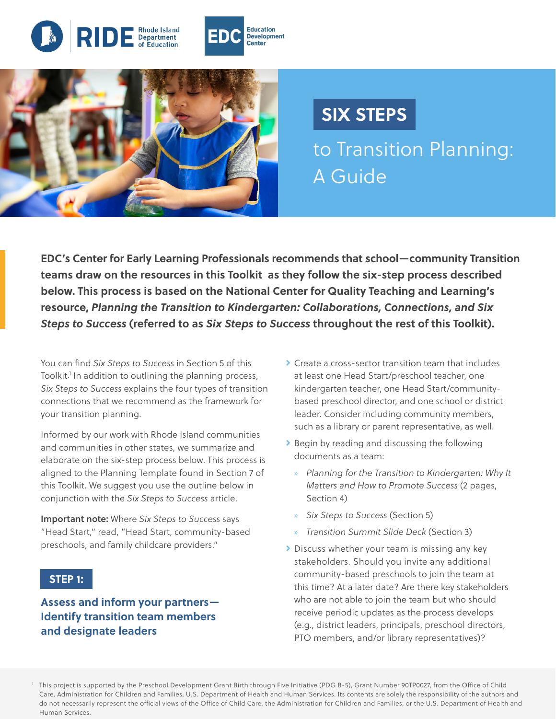



# **SIX STEPS**

to Transition Planning: A Guide

**EDC's Center for Early Learning Professionals recommends that school—community Transition teams draw on the resources in this Toolkit as they follow the six-step process described below. This process is based on the National Center for Quality Teaching and Learning's resource,** *Planning the Transition to Kindergarten: Collaborations, Connections, and Six Steps to Success* **(referred to as** *Six Steps to Success* **throughout the rest of this Toolkit).** 

You can find *Six Steps to Success* in Section 5 of this Toolkit.<sup>1</sup> In addition to outlining the planning process, *Six Steps to Success* explains the four types of transition connections that we recommend as the framework for your transition planning.

Informed by our work with Rhode Island communities and communities in other states, we summarize and elaborate on the six-step process below. This process is aligned to the Planning Template found in Section 7 of this Toolkit. We suggest you use the outline below in conjunction with the *Six Steps to Success* article.

Important note: Where *Six Steps to Success* says "Head Start," read, "Head Start, community-based preschools, and family childcare providers."

#### **STEP 1:**

## **Assess and inform your partners— Identify transition team members and designate leaders**

- ▶ Create a cross-sector transition team that includes at least one Head Start/preschool teacher, one kindergarten teacher, one Head Start/communitybased preschool director, and one school or district leader. Consider including community members, such as a library or parent representative, as well.
- **>** Begin by reading and discussing the following documents as a team:
	- » *Planning for the Transition to Kindergarten: Why It Matters and How to Promote Success* (2 pages, Section 4)
	- » *Six Steps to Success* (Section 5)
	- » *Transition Summit Slide Deck* (Section 3)
- **Discuss whether your team is missing any key** stakeholders. Should you invite any additional community-based preschools to join the team at this time? At a later date? Are there key stakeholders who are not able to join the team but who should receive periodic updates as the process develops (e.g., district leaders, principals, preschool directors, PTO members, and/or library representatives)?

<sup>1</sup> This project is supported by the Preschool Development Grant Birth through Five Initiative (PDG B-5), Grant Number 90TP0027, from the Office of Child Care, Administration for Children and Families, U.S. Department of Health and Human Services. Its contents are solely the responsibility of the authors and do not necessarily represent the official views of the Office of Child Care, the Administration for Children and Families, or the U.S. Department of Health and Human Services.